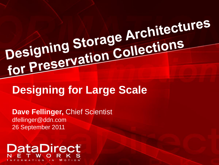# Designing Storage Architectures Designing Storage Arcinicums<br>for Preservation Collections

# **Designing for Large Scale**

**Dave Fellinger,** Chief Scientist dfellinger@ddn.com 26 September 2011

#### **DataDirect** © 2011 DataDirect Networks. All rights reserved. | NDA Confidential Information .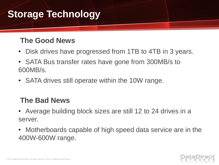# **Storage Technology**

#### **The Good News**

- Disk drives have progressed from 1TB to 4TB in 3 years.
- SATA Bus transfer rates have gone from 300MB/s to 600MB/s.
- SATA drives still operate within the 10W range.

#### **The Bad News**

- Average building block sizes are still 12 to 24 drives in a server.
- Motherboards capable of high speed data service are in the 400W-600W range.

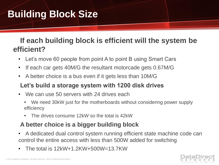# **Building Block Size**

#### **If each building block is efficient will the system be efficient?**

- Let's move 60 people from point A to point B using Smart Cars
- If each car gets 40M/G the resultant motorcade gets 0.67M/G
- A better choice is a bus even if it gets less than 10M/G

#### **Let's build a storage system with 1200 disk drives**

- We can use 50 servers with 24 drives each
	- We need 30kW just for the motherboards without considering power supply efficiency
	- The drives consume 12kW so the total is 42kW

#### **A better choice is a bigger building block**

- A dedicated dual control system running efficient state machine code can control the entire access with less than 500W added for switching
- The total is 12kW+1.2KW+500W=13.7KW

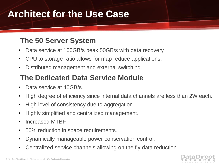### **Architect for the Use Case**

#### **The 50 Server System**

- Data service at 100GB/s peak 50GB/s with data recovery.
- CPU to storage ratio allows for map reduce applications.
- Distributed management and external switching.

#### **The Dedicated Data Service Module**

- Data service at 40GB/s.
- High degree of efficiency since internal data channels are less than 2W each.
- High level of consistency due to aggregation.
- Highly simplified and centralized management.
- Increased MTBF.
- 50% reduction in space requirements.
- Dynamically manageable power conservation control.
- Centralized service channels allowing on the fly data reduction.

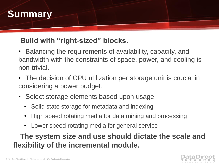

#### **Build with "right-sized" blocks.**

- Balancing the requirements of availability, capacity, and bandwidth with the constraints of space, power, and cooling is non-trivial.
- The decision of CPU utilization per storage unit is crucial in considering a power budget.
- Select storage elements based upon usage;
	- Solid state storage for metadata and indexing
	- High speed rotating media for data mining and processing
	- Lower speed rotating media for general service

**The system size and use should dictate the scale and flexibility of the incremental module.**